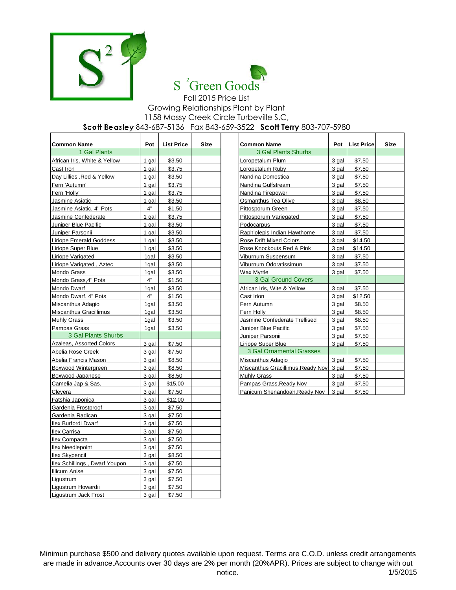



## Fall 2015 Price List Growing Relationships Plant by Plant 1158 Mossy Creek Circle Turbeville S,C, **Scott Beasley** 843-687-5136 Fax 843-659-3522 **Scott Terry** 803-707-5980

| <b>Common Name</b>            | Pot   | <b>List Price</b> | <b>Size</b> | <b>Common Name</b>                | Pot   | <b>List Price</b> | <b>Size</b> |
|-------------------------------|-------|-------------------|-------------|-----------------------------------|-------|-------------------|-------------|
| 1 Gal Plants                  |       |                   |             | 3 Gal Plants Shurbs               |       |                   |             |
| African Iris, White & Yellow  | 1 gal | \$3.50            |             | _oropetalum Plum                  | 3 gal | \$7.50            |             |
| Cast Iron                     | 1 gal | \$3.75            |             | Loropetalum Ruby                  | 3 gal | \$7.50            |             |
| Day Lillies , Red & Yellow    | 1 gal | \$3.50            |             | Nandina Domestica                 | 3 gal | \$7.50            |             |
| Fern 'Autumn'                 | 1 gal | \$3.75            |             | Nandina Gulfstream                | 3 gal | \$7.50            |             |
| Fern 'Holly'                  | 1 gal | \$3.75            |             | Nandina Firepower                 | 3 gal | \$7.50            |             |
| Jasmine Asiatic               | 1 gal | \$3.50            |             | Osmanthus Tea Olive               | 3 gal | \$8.50            |             |
| Jasmine Asiatic, 4" Pots      | 4"    | \$1.50            |             | Pittosporum Green                 | 3 gal | \$7.50            |             |
| Jasmine Confederate           | 1 gal | \$3.75            |             | Pittosporum Variegated            | 3 gal | \$7.50            |             |
| Juniper Blue Pacific          | 1 gal | \$3.50            |             | Podocarpus                        | 3 gal | \$7.50            |             |
| Juniper Parsonii              | 1 gal | \$3.50            |             | Raphiolepis Indian Hawthorne      | 3 gal | \$7.50            |             |
| Liriope Emerald Goddess       | 1 gal | \$3.50            |             | Rose Drift Mixed Colors           | 3 gal | \$14.50           |             |
| Liriope Super Blue            | 1 gal | \$3.50            |             | Rose Knockouts Red & Pink         | 3 gal | \$14.50           |             |
| Liriope Varigated             | 1gal  | \$3.50            |             | Viburnum Suspensum                | 3 gal | \$7.50            |             |
| Liriope Varigated, Aztec      | 1gal  | \$3.50            |             | Viburnum Odoratissimun            | 3 gal | \$7.50            |             |
| Mondo Grass                   | 1gal  | \$3.50            |             | Wax Myrtle                        | 3 gal | \$7.50            |             |
| Mondo Grass, 4" Pots          | 4"    | \$1.50            |             | 3 Gal Ground Covers               |       |                   |             |
| Mondo Dwarf                   | 1gal  | \$3.50            |             | African Iris, Wite & Yellow       | 3 gal | \$7.50            |             |
| Mondo Dwarf, 4" Pots          | 4"    | \$1.50            |             | Cast Irion                        | 3 gal | \$12.50           |             |
| Miscanthus Adagio             | 1gal  | \$3.50            |             | Fern Autumn                       | 3 gal | \$8.50            |             |
| Miscanthus Gracillimus        | 1gal  | \$3.50            |             | Fern Holly                        | 3 gal | \$8.50            |             |
| Muhly Grass                   | 1gal  | \$3.50            |             | Jasmine Confederate Trellised     | 3 gal | \$8.50            |             |
| Pampas Grass                  | 1gal  | \$3.50            |             | Juniper Blue Pacific              | 3 gal | \$7.50            |             |
| 3 Gal Plants Shurbs           |       |                   |             | Juniper Parsonii                  | 3 gal | \$7.50            |             |
| Azaleas, Assorted Colors      | 3 gal | \$7.50            |             | Liriope Super Blue                | 3 gal | \$7.50            |             |
| Abelia Rose Creek             | 3 gal | \$7.50            |             | 3 Gal Ornamental Grasses          |       |                   |             |
| Abelia Francis Mason          | 3 gal | \$8.50            |             | Miscanthus Adagio                 | 3 gal | \$7.50            |             |
| Boxwood Wintergreen           | 3 gal | \$8.50            |             | Miscanthus Gracillimus, Ready Nov | 3 gal | \$7.50            |             |
| Boxwood Japanese              | 3 gal | \$8.50            |             | Muhly Grass                       | 3 gal | \$7.50            |             |
| Camelia Jap & Sas.            | 3 gal | \$15.00           |             | Pampas Grass, Ready Nov           | 3 gal | \$7.50            |             |
| Clevera                       | 3 gal | \$7.50            |             | Panicum Shenandoah, Ready Nov     | 3 gal | \$7.50            |             |
| Fatshia Japonica              | 3 gal | \$12.00           |             |                                   |       |                   |             |
| Gardenia Frostproof           | 3 gal | \$7.50            |             |                                   |       |                   |             |
| Gardenia Radican              | 3 gal | \$7.50            |             |                                   |       |                   |             |
| Ilex Burfordi Dwarf           | 3 gal | \$7.50            |             |                                   |       |                   |             |
| Ilex Carrisa                  | 3 gal | \$7.50            |             |                                   |       |                   |             |
| <b>Ilex Compacta</b>          | 3 gal | \$7.50            |             |                                   |       |                   |             |
| <b>Ilex Needlepoint</b>       | 3 gal | \$7.50            |             |                                   |       |                   |             |
| <b>Ilex Skypencil</b>         | 3 gal | \$8.50            |             |                                   |       |                   |             |
| Ilex Schillings, Dwarf Youpon | 3 gal | \$7.50            |             |                                   |       |                   |             |
| <b>Illicum Anise</b>          | 3 gal | \$7.50            |             |                                   |       |                   |             |
| Ligustrum                     | 3 gal | \$7.50            |             |                                   |       |                   |             |
| Ligustrum Howardii            | 3 gal | \$7.50            |             |                                   |       |                   |             |
| Ligustrum Jack Frost          | 3 gal | \$7.50            |             |                                   |       |                   |             |

Minimun purchase \$500 and delivery quotes available upon request. Terms are C.O.D. unless credit arrangements are made in advance.Accounts over 30 days are 2% per month (20%APR). Prices are subject to change with out notice. 1/5/2015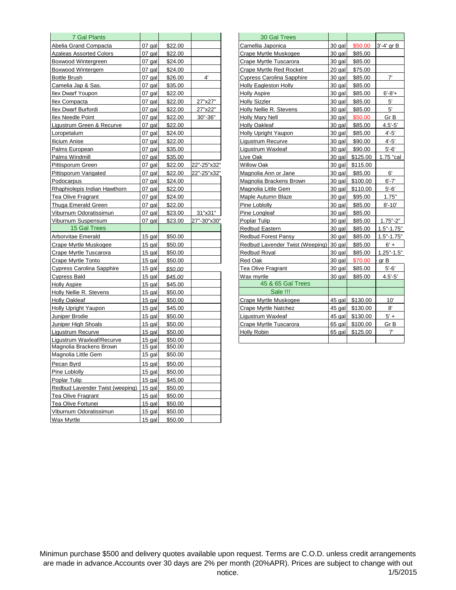| 7 Gal Plants                     |          |         |             | 30 Gal Trees                     |        |          |                |
|----------------------------------|----------|---------|-------------|----------------------------------|--------|----------|----------------|
| Abelia Grand Compacta            | 07 gal   | \$22.00 |             | Camellia Japonica                | 30 gal | \$50.00  | 3'-4' gr B     |
| <b>Azaleas Assorted Colors</b>   | 07 gal   | \$22.00 |             | Crape Myrtle Muskogee            | 30 gal | \$85.00  |                |
| Boxwood Wintergreen              | 07 gal   | \$24.00 |             | Crape Myrtle Tuscarora           | 30 gal | \$85.00  |                |
| Boxwood Wintergem                | 07 gal   | \$24.00 |             | Crape Myrtle Red Rocket          | 20 gal | \$75.00  |                |
| <b>Bottle Brush</b>              | 07 gal   | \$26.00 | $4^{\circ}$ | <b>Cypress Carolina Sapphire</b> | 30 gal | \$85.00  | 7'             |
| Camelia Jap & Sas.               | 07 gal   | \$35.00 |             | <b>Holly Eagleston Holly</b>     | 30 gal | \$85.00  |                |
| <b>Ilex Dwarf Youpon</b>         | 07 gal   | \$22.00 |             | <b>Holly Aspire</b>              | 30 gal | \$85.00  | $6' - 8' +$    |
| Ilex Compacta                    | 07 gal   | \$22.00 | 27"x27"     | <b>Holly Sizzler</b>             | 30 gal | \$85.00  | 5'             |
| Ilex Dwarf Burfordi              | 07 gal   | \$22.00 | 27"x22"     | Holly Nellie R. Stevens          | 30 gal | \$85.00  | 5'             |
| <b>Ilex Needle Point</b>         | 07 gal   | \$22.00 | 30"-36"     | Holly Mary Nell                  | 30 gal | \$50.00  | Gr B           |
| Liqustrum Green & Recurve        | 07 gal   | \$22.00 |             | <b>Holly Oakleaf</b>             | 30 gal | \$85.00  | $4.5' - 5'$    |
| Loropetalum                      | 07 gal   | \$24.00 |             | <b>Holly Upright Yaupon</b>      | 30 gal | \$85.00  | $4' - 5'$      |
| Ilicium Anise                    | 07 gal   | \$22.00 |             | Ligustrum Recurve                | 30 gal | \$90.00  | $4' - 5'$      |
| Palms European                   | 07 gal   | \$35.00 |             | Ligustrum Waxleaf                | 30 gal | \$90.00  | $5 - 6'$       |
| Palms Windmill                   | 07 gal   | \$35.00 |             | Live Oak                         | 30 gal | \$125.00 | 1.75 "cal      |
| Pittisporum Green                | 07 gal   | \$22.00 | 22"-25"x32" | Willow Oak                       | 30 gal | \$115.00 |                |
| Pittisporum Varigated            | 07 gal   | \$22.00 | 22"-25"x32" | Magnolia Ann or Jane             | 30 gal | \$85.00  | 6'             |
| Podocarpus                       | 07 gal   | \$24.00 |             | Magnolia Brackens Brown          | 30 gal | \$100.00 | $6' - 7'$      |
| Rhaphiolepis Indian Hawthorn     | 07 gal   | \$22.00 |             | Magnolia Little Gem              | 30 gal | \$110.00 | $5 - 6'$       |
| <b>Tea Olive Fragrant</b>        | 07 gal   | \$24.00 |             | Maple Autumn Blaze               | 30 gal | \$95.00  | 1.75"          |
| Thuga Emerald Green              | 07 gal   | \$22.00 |             | Pine Loblolly                    | 30 gal | \$85.00  | $8' - 10'$     |
| Viburnum Odoratissimun           | 07 gal   | \$23.00 | 31"x31"     | Pine Longleaf                    | 30 gal | \$85.00  |                |
| Viburnum Suspensum               | 07 gal   | \$23.00 | 27"-30"x30" | Poplar Tulip                     | 30 gal | \$85.00  | $1.75 - 2$     |
| 15 Gal Trees                     |          |         |             | Redbud Eastern                   | 30 gal | \$85.00  | $1.5" - 1.75"$ |
| Arborvitae Emerald               | 15 gal   | \$50.00 |             | <b>Redbud Forest Pansy</b>       | 30 gal | \$85.00  | $1.5" - 1.75"$ |
| Crape Myrtle Muskogee            | 15 gal   | \$50.00 |             | Redbud Lavender Twist (Weeping)  | 30 gal | \$85.00  | $6' +$         |
| Crape Myrtle Tuscarora           | $15$ gal | \$50.00 |             | <b>Redbud Royal</b>              | 30 gal | \$85.00  | $1.25" - 1.5"$ |
| Crape Myrtle Tonto               | 15 gal   | \$50.00 |             | Red Oak                          | 30 gal | \$70.00  | gr B           |
| <b>Cypress Carolina Sapphire</b> | 15 gal   | \$50.00 |             | Tea Olive Fragrant               | 30 gal | \$85.00  | $5 - 6'$       |
| <b>Cypress Bald</b>              | 15 gal   | \$45.00 |             | Wax myrtle                       | 30 gal | \$85.00  | $4.5 - 5'$     |
| <b>Holly Aspire</b>              | 15 gal   | \$45.00 |             | 45 & 65 Gal Trees                |        |          |                |
| Holly Nellie R. Stevens          | 15 gal   | \$50.00 |             | Sale !!!                         |        |          |                |
| <b>Holly Oakleaf</b>             | 15 gal   | \$50.00 |             | Crape Myrtle Muskogee            | 45 gal | \$130.00 | 10'            |
| <b>Holly Upright Yaupon</b>      | 15 gal   | \$45.00 |             | Crape Myrtle Natchez             | 45 gal | \$130.00 | 8'             |
| Juniper Brodie                   | 15 gal   | \$50.00 |             | Ligustrum Waxleaf                | 45 gal | \$130.00 | $5' +$         |
| Juniper High Shoals              | 15 gal   | \$50.00 |             | Crape Myrtle Tuscarora           | 65 gal | \$100.00 | Gr B           |
| Liqustrum Recurve                | 15 gal   | \$50.00 |             | Holly Robin                      | 65 gal | \$125.00 | 7'             |
| Ligustrum Waxleaf/Recurve        | $15$ gal | \$50.00 |             |                                  |        |          |                |
| Magnolia Brackens Brown          | 15 gal   | \$50.00 |             |                                  |        |          |                |
| Magnolia Little Gem              | 15 gal   | \$50.00 |             |                                  |        |          |                |
| Pecan Byrd                       | $15$ gal | \$50.00 |             |                                  |        |          |                |
| Pine Loblolly                    | $15$ gal | \$50.00 |             |                                  |        |          |                |
| Poplar Tulip                     | $15$ gal | \$45.00 |             |                                  |        |          |                |
| Redbud Lavender Twist (weeping)  | $15$ gal | \$50.00 |             |                                  |        |          |                |
| <b>Tea Olive Fragrant</b>        | 15 gal   | \$50.00 |             |                                  |        |          |                |
| Tea Olive Fortunei               | $15$ gal | \$50.00 |             |                                  |        |          |                |
| Viburnum Odoratissimun           | $15$ gal | \$50.00 |             |                                  |        |          |                |
| <b>Wax Myrtle</b>                | $15$ gal | \$50.00 |             |                                  |        |          |                |

| 30 Gal Trees                     |          |          |                |
|----------------------------------|----------|----------|----------------|
| Camellia Japonica                | 30 gal   | \$50.00  | 3'-4' gr B     |
| Crape Myrtle Muskogee            | 30 gal   | \$85.00  |                |
| Crape Myrtle Tuscarora           | 30 gal   | \$85.00  |                |
| <b>Crape Myrtle Red Rocket</b>   | 20 gal   | \$75.00  |                |
| <b>Cypress Carolina Sapphire</b> | 30 gal   | \$85.00  | $7^{\circ}$    |
| Holly Eagleston Holly            | 30 gal   | \$85.00  |                |
| <b>Holly Aspire</b>              | 30 gal   | \$85.00  | $6' - 8' +$    |
| Holly Sizzler                    | 30 gal   | \$85.00  | 5'             |
| Holly Nellie R. Stevens          | 30 gal   | \$85.00  | 5'             |
| Holly Mary Nell                  | 30 gal   | \$50.00  | Gr B           |
| <b>Holly Oakleaf</b>             | 30 gal   | \$85.00  | $4.5'-5'$      |
| Holly Upright Yaupon             | 30 gal   | \$85.00  | $4'-5'$        |
| Ligustrum Recurve                | 30 gal   | \$90.00  | $4 - 5'$       |
| Ligustrum Waxleaf                | 30 gal   | \$90.00  | $5'-6'$        |
| Live Oak                         | 30 gal   | \$125.00 | 1.75 "cal      |
| Willow Oak                       | 30 gal   | \$115.00 |                |
| Magnolia Ann or Jane             | 30 gal   | \$85.00  | 6'             |
| Magnolia Brackens Brown          | 30 gal   | \$100.00 | $6' - 7'$      |
| Magnolia Little Gem              | 30 gal   | \$110.00 | $5'-6'$        |
| Maple Autumn Blaze               | 30 gal   | \$95.00  | 1.75"          |
| Pine Loblolly                    | 30 gal   | \$85.00  | $8' - 10'$     |
| Pine Longleaf                    | 30 gal   | \$85.00  |                |
| Poplar Tulip                     | 30 gal   | \$85.00  | $1.75 - 2$     |
| Redbud Eastern                   | 30 gal   | \$85.00  | $1.5" - 1.75"$ |
| <b>Redbud Forest Pansy</b>       | 30 gal   | \$85.00  | $1.5" - 1.75"$ |
| Redbud Lavender Twist (Weeping)  | 30 gal   | \$85.00  | $6' +$         |
| <b>Redbud Royal</b>              | 30 gal   | \$85.00  | $1.25" - 1.5"$ |
| Red Oak                          | 30 gal   | \$70.00  | gr B           |
| Tea Olive Fragrant               | 30 gal   | \$85.00  | $5'-6'$        |
| Wax myrtle                       | 30 gal   | \$85.00  | $4.5 - 5'$     |
| 45 & 65 Gal Trees                |          |          |                |
| Sale !!!                         |          |          |                |
| Crape Myrtle Muskogee            | 45 gal   | \$130.00 | 10'            |
| <b>Crape Myrtle Natchez</b>      | $45$ gal | \$130.00 | 8'             |
| Ligustrum Waxleaf                | 45 gal   | \$130.00 | $5' +$         |
| Crape Myrtle Tuscarora           | $65$ gal | \$100.00 | Gr B           |
| Holly Robin                      | 65 gal   | \$125.00 | 7'             |
|                                  |          |          |                |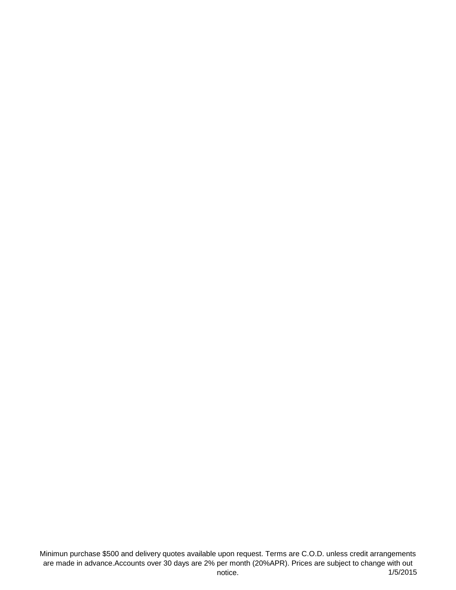Minimun purchase \$500 and delivery quotes available upon request. Terms are C.O.D. unless credit arrangements are made in advance.Accounts over 30 days are 2% per month (20%APR). Prices are subject to change with out notice. (1/5/2015)